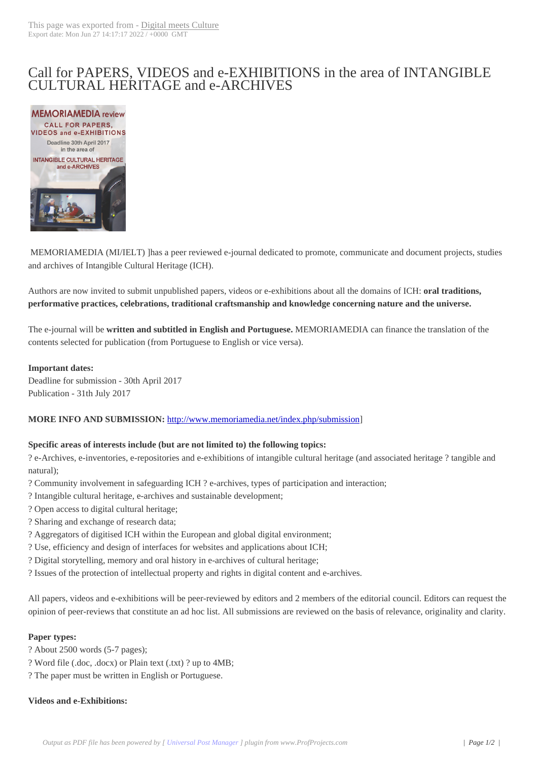# Call for PAPERS, [VIDEOS and e](http://www.digitalmeetsculture.net/?p=44376)-EXHIBITIONS in the area of INTANGIBLE CULTURAL HERITAGE and e-ARCHIVES



 MEMORIAMEDIA (MI/IELT) ]has a peer reviewed e-journal dedicated to promote, communicate and document projects, studies and archives of Intangible Cultural Heritage (ICH).

Authors are now invited to submit unpublished papers, videos or e-exhibitions about all the domains of ICH: **oral traditions, performative practices, celebrations, traditional craftsmanship and knowledge concerning nature and the universe.**

The e-journal will be **written and subtitled in English and Portuguese.** MEMORIAMEDIA can finance the translation of the contents selected for publication (from Portuguese to English or vice versa).

# **Important dates:**

Deadline for submission - 30th April 2017 Publication - 31th July 2017

# **MORE INFO AND SUBMISSION:** http://www.memoriamedia.net/index.php/submission]

### **Specific areas of interests include (but are not limited to) the following topics:**

? e-Archives, e-inventories, e-reposito[ries and e-exhibitions of intangible cultural heritage \(a](http://www.memoriamedia.net/index.php/submission)nd associated heritage ? tangible and natural);

- ? Community involvement in safeguarding ICH ? e-archives, types of participation and interaction;
- ? Intangible cultural heritage, e-archives and sustainable development;
- ? Open access to digital cultural heritage;
- ? Sharing and exchange of research data;
- ? Aggregators of digitised ICH within the European and global digital environment;
- ? Use, efficiency and design of interfaces for websites and applications about ICH;
- ? Digital storytelling, memory and oral history in e-archives of cultural heritage;
- ? Issues of the protection of intellectual property and rights in digital content and e-archives.

All papers, videos and e-exhibitions will be peer-reviewed by editors and 2 members of the editorial council. Editors can request the opinion of peer-reviews that constitute an ad hoc list. All submissions are reviewed on the basis of relevance, originality and clarity.

### **Paper types:**

- ? About 2500 words (5-7 pages);
- ? Word file (.doc, .docx) or Plain text (.txt) ? up to 4MB;
- ? The paper must be written in English or Portuguese.

# **Videos and e-Exhibitions:**